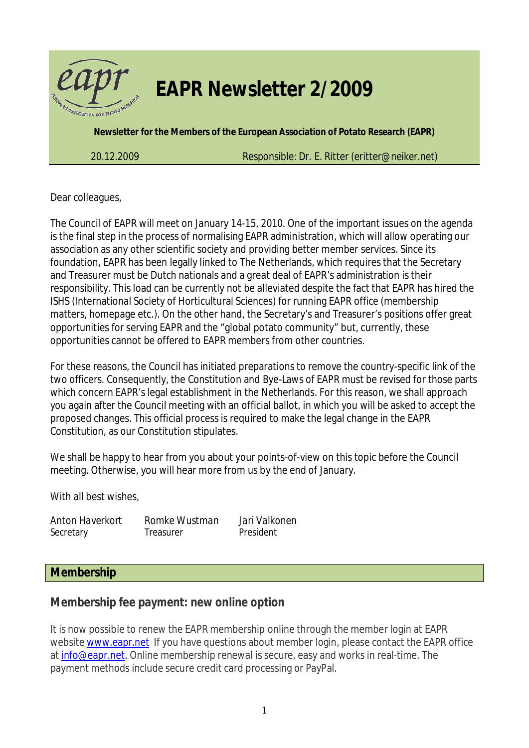

# *EAPR Newsletter 2/2009*

**Newsletter for the Members of the European Association of Potato Research (EAPR)** 

*20.12.2009 Responsible: Dr. E. Ritter (eritter@neiker.net)*

Dear colleagues,

The Council of EAPR will meet on January 14-15, 2010. One of the important issues on the agenda is the final step in the process of normalising EAPR administration, which will allow operating our association as any other scientific society and providing better member services. Since its foundation, EAPR has been legally linked to The Netherlands, which requires that the Secretary and Treasurer must be Dutch nationals and a great deal of EAPR's administration is their responsibility. This load can be currently not be alleviated despite the fact that EAPR has hired the ISHS (International Society of Horticultural Sciences) for running EAPR office (membership matters, homepage etc.). On the other hand, the Secretary's and Treasurer's positions offer great opportunities for serving EAPR and the "global potato community" but, currently, these opportunities cannot be offered to EAPR members from other countries.

For these reasons, the Council has initiated preparations to remove the country-specific link of the two officers. Consequently, the Constitution and Bye-Laws of EAPR must be revised for those parts which concern EAPR's legal establishment in the Netherlands. For this reason, we shall approach you again after the Council meeting with an official ballot, in which you will be asked to accept the proposed changes. This official process is required to make the legal change in the EAPR Constitution, as our Constitution stipulates.

We shall be happy to hear from you about your points-of-view on this topic before the Council meeting. Otherwise, you will hear more from us by the end of January.

With all best wishes,

*Anton Haverkort Romke Wustman Jari Valkonen*  Secretary Treasurer President

#### **Membership**

**Membership fee payment: new online option** 

It is now possible to renew the EAPR membership online through the member login at EAPR website www.eapr.net If you have questions about member login, please contact the EAPR office at info@eapr.net. Online membership renewal is secure, easy and works in real-time. The payment methods include secure credit card processing or PayPal.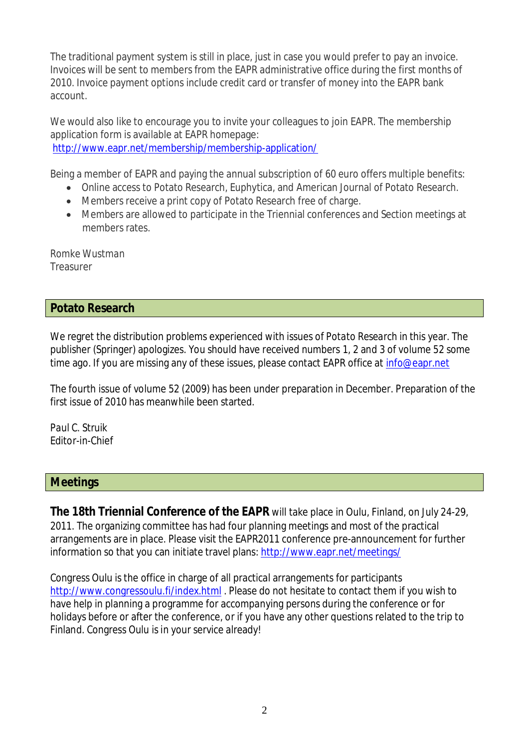The traditional payment system is still in place, just in case you would prefer to pay an invoice. Invoices will be sent to members from the EAPR administrative office during the first months of 2010. Invoice payment options include credit card or transfer of money into the EAPR bank account.

We would also like to encourage you to invite your colleagues to join EAPR. The membership application form is available at EAPR homepage: http://www.eapr.net/membership/membership-application/

Being a member of EAPR and paying the annual subscription of 60 euro offers multiple benefits:

- Online access to Potato Research, Euphytica, and American Journal of Potato Research.
- Members receive a print copy of Potato Research free of charge.
- Members are allowed to participate in the Triennial conferences and Section meetings at members rates.

*Romke Wustman*  Treasurer

#### **Potato Research**

We regret the distribution problems experienced with issues of *Potato Research* in this year. The publisher (Springer) apologizes. You should have received numbers 1, 2 and 3 of volume 52 some time ago. If you are missing any of these issues, please contact EAPR office at info@eapr.net

The fourth issue of volume 52 (2009) has been under preparation in December. Preparation of the first issue of 2010 has meanwhile been started.

*Paul C. Struik*  Editor-in-Chief

#### **Meetings**

**The 18th Triennial Conference of the EAPR** will take place in Oulu, Finland, on July 24-29, 2011. The organizing committee has had four planning meetings and most of the practical arrangements are in place. Please visit the EAPR2011 conference pre-announcement for further information so that you can initiate travel plans: http://www.eapr.net/meetings/

Congress Oulu is the office in charge of all practical arrangements for participants http://www.congressoulu.fi/index.html . Please do not hesitate to contact them if you wish to have help in planning a programme for accompanying persons during the conference or for holidays before or after the conference, or if you have any other questions related to the trip to Finland. Congress Oulu is in your service already!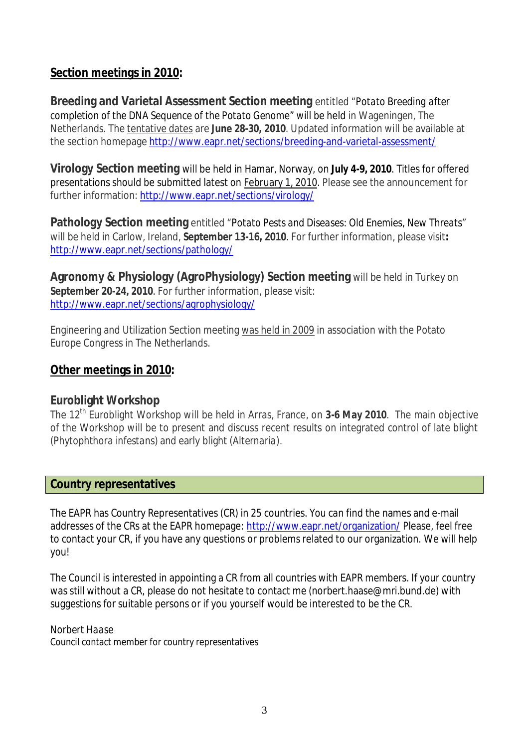#### **Section meetings in 2010:**

**Breeding and Varietal Assessment Section meeting** entitled "*Potato Breeding after completion of the DNA Sequence of the Potato Genome*" will be held in Wageningen, The Netherlands. The tentative dates are **June 28-30, 2010**. Updated information will be available at the section homepage http://www.eapr.net/sections/breeding-and-varietal-assessment/

**Virology Section meeting** will be held in Hamar, Norway, on **July 4-9, 2010**. Titles for offered presentations should be submitted latest on February 1, 2010. Please see the announcement for further information: http://www.eapr.net/sections/virology/

**Pathology Section meeting** entitled "*Potato Pests and Diseases: Old Enemies, New Threats*" will be held in Carlow, Ireland, **September 13-16, 2010**. For further information, please visit**:**  http://www.eapr.net/sections/pathology/

**Agronomy & Physiology (AgroPhysiology) Section meeting** will be held in Turkey on **September 20-24, 2010**. For further information, please visit: http://www.eapr.net/sections/agrophysiology/

Engineering and Utilization Section meeting was held in 2009 in association with the Potato Europe Congress in The Netherlands.

#### **Other meetings in 2010:**

#### **Euroblight Workshop**

The 12th Euroblight Workshop will be held in Arras, France, on **3-6 May 2010**. The main objective of the Workshop will be to present and discuss recent results on integrated control of late blight (*Phytophthora infestans*) and early blight (*Alternaria*).

#### **Country representatives**

The EAPR has Country Representatives (CR) in 25 countries. You can find the names and e-mail addresses of the CRs at the EAPR homepage: http://www.eapr.net/organization/ Please, feel free to contact your CR, if you have any questions or problems related to our organization. We will help you!

The Council is interested in appointing a CR from all countries with EAPR members. If your country was still without a CR, please do not hesitate to contact me (norbert.haase@mri.bund.de) with suggestions for suitable persons or if you yourself would be interested to be the CR.

#### *Norbert Haase*

Council contact member for country representatives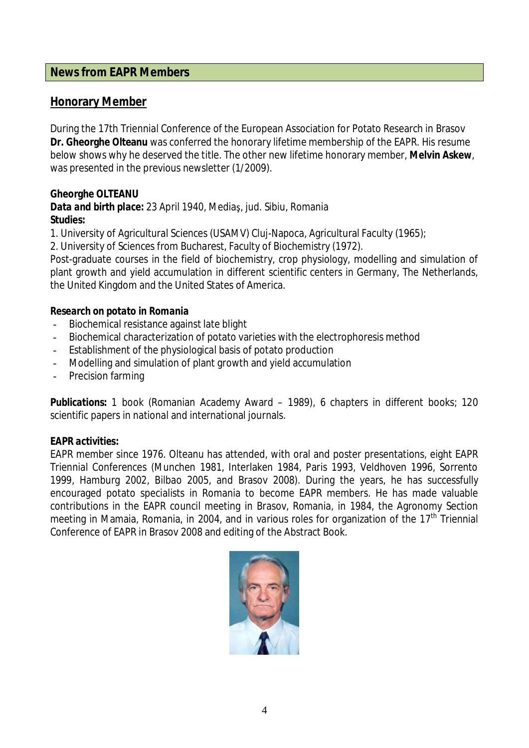#### **News from EAPR Members**

#### **Honorary Member**

During the 17th Triennial Conference of the European Association for Potato Research in Brasov **Dr. Gheorghe Olteanu** was conferred the honorary lifetime membership of the EAPR. His resume below shows why he deserved the title. The other new lifetime honorary member, **Melvin Askew**, was presented in the previous newsletter (1/2009).

**Gheorghe OLTEANU** 

*Data and birth place:* 23 April 1940, MediaƔ, jud. Sibiu, Romania *Studies:* 

1. University of Agricultural Sciences (USAMV) Cluj-Napoca, Agricultural Faculty (1965);

2. University of Sciences from Bucharest, Faculty of Biochemistry (1972).

Post-graduate courses in the field of biochemistry, crop physiology, modelling and simulation of plant growth and yield accumulation in different scientific centers in Germany, The Netherlands, the United Kingdom and the United States of America.

#### *Research on potato in Romania*

- Biochemical resistance against late blight
- Biochemical characterization of potato varieties with the electrophoresis method
- Establishment of the physiological basis of potato production
- Modelling and simulation of plant growth and yield accumulation
- Precision farming

*Publications:* 1 book (Romanian Academy Award – 1989), 6 chapters in different books; 120 scientific papers in national and international journals.

#### *EAPR activities:*

EAPR member since 1976. Olteanu has attended, with oral and poster presentations, eight EAPR Triennial Conferences (Munchen 1981, Interlaken 1984, Paris 1993, Veldhoven 1996, Sorrento 1999, Hamburg 2002, Bilbao 2005, and Brasov 2008). During the years, he has successfully encouraged potato specialists in Romania to become EAPR members. He has made valuable contributions in the EAPR council meeting in Brasov, Romania, in 1984, the Agronomy Section meeting in Mamaia, Romania, in 2004, and in various roles for organization of the  $17<sup>th</sup>$  Triennial Conference of EAPR in Brasov 2008 and editing of the Abstract Book.